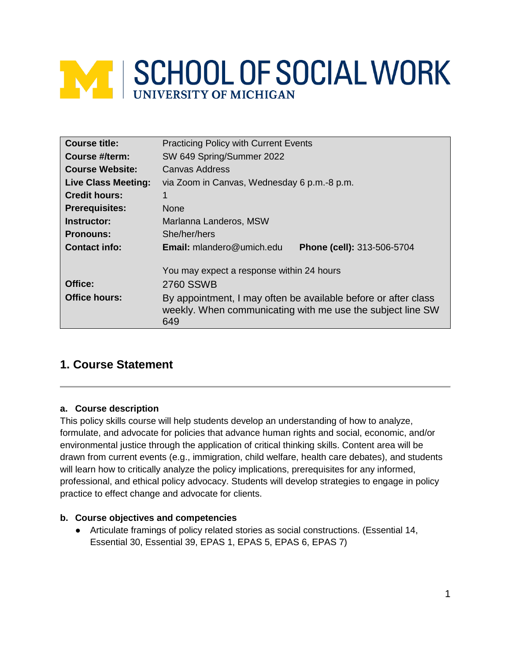# **MINISCHOOL OF SOCIAL WORK**

| <b>Course title:</b>       | <b>Practicing Policy with Current Events</b>                                                                                        |  |  |
|----------------------------|-------------------------------------------------------------------------------------------------------------------------------------|--|--|
| Course #/term:             | SW 649 Spring/Summer 2022                                                                                                           |  |  |
| <b>Course Website:</b>     | <b>Canvas Address</b>                                                                                                               |  |  |
| <b>Live Class Meeting:</b> | via Zoom in Canvas, Wednesday 6 p.m.-8 p.m.                                                                                         |  |  |
| <b>Credit hours:</b>       |                                                                                                                                     |  |  |
| <b>Prerequisites:</b>      | <b>None</b>                                                                                                                         |  |  |
| Instructor:                | Marlanna Landeros, MSW                                                                                                              |  |  |
| <b>Pronouns:</b>           | She/her/hers                                                                                                                        |  |  |
| <b>Contact info:</b>       | <b>Email:</b> mlandero@umich.edu<br>Phone (cell): 313-506-5704                                                                      |  |  |
|                            | You may expect a response within 24 hours                                                                                           |  |  |
| Office:                    | 2760 SSWB                                                                                                                           |  |  |
| <b>Office hours:</b>       | By appointment, I may often be available before or after class<br>weekly. When communicating with me use the subject line SW<br>649 |  |  |

# **1. Course Statement**

# **a. Course description**

This policy skills course will help students develop an understanding of how to analyze, formulate, and advocate for policies that advance human rights and social, economic, and/or environmental justice through the application of critical thinking skills. Content area will be drawn from current events (e.g., immigration, child welfare, health care debates), and students will learn how to critically analyze the policy implications, prerequisites for any informed, professional, and ethical policy advocacy. Students will develop strategies to engage in policy practice to effect change and advocate for clients.

# **b. Course objectives and competencies**

● Articulate framings of policy related stories as social constructions. (Essential 14, Essential 30, Essential 39, EPAS 1, EPAS 5, EPAS 6, EPAS 7)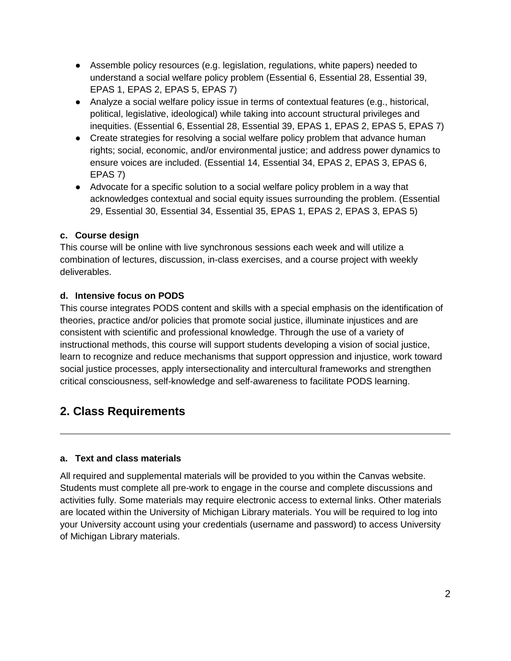- Assemble policy resources (e.g. legislation, regulations, white papers) needed to understand a social welfare policy problem (Essential 6, Essential 28, Essential 39, EPAS 1, EPAS 2, EPAS 5, EPAS 7)
- Analyze a social welfare policy issue in terms of contextual features (e.g., historical, political, legislative, ideological) while taking into account structural privileges and inequities. (Essential 6, Essential 28, Essential 39, EPAS 1, EPAS 2, EPAS 5, EPAS 7)
- Create strategies for resolving a social welfare policy problem that advance human rights; social, economic, and/or environmental justice; and address power dynamics to ensure voices are included. (Essential 14, Essential 34, EPAS 2, EPAS 3, EPAS 6, EPAS 7)
- Advocate for a specific solution to a social welfare policy problem in a way that acknowledges contextual and social equity issues surrounding the problem. (Essential 29, Essential 30, Essential 34, Essential 35, EPAS 1, EPAS 2, EPAS 3, EPAS 5)

# **c. Course design**

This course will be online with live synchronous sessions each week and will utilize a combination of lectures, discussion, in-class exercises, and a course project with weekly deliverables.

# **d. Intensive focus on PODS**

This course integrates PODS content and skills with a special emphasis on the identification of theories, practice and/or policies that promote social justice, illuminate injustices and are consistent with scientific and professional knowledge. Through the use of a variety of instructional methods, this course will support students developing a vision of social justice, learn to recognize and reduce mechanisms that support oppression and injustice, work toward social justice processes, apply intersectionality and intercultural frameworks and strengthen critical consciousness, self-knowledge and self-awareness to facilitate PODS learning.

# **2. Class Requirements**

# **a. Text and class materials**

All required and supplemental materials will be provided to you within the Canvas website. Students must complete all pre-work to engage in the course and complete discussions and activities fully. Some materials may require electronic access to external links. Other materials are located within the University of Michigan Library materials. You will be required to log into your University account using your credentials (username and password) to access University of Michigan Library materials.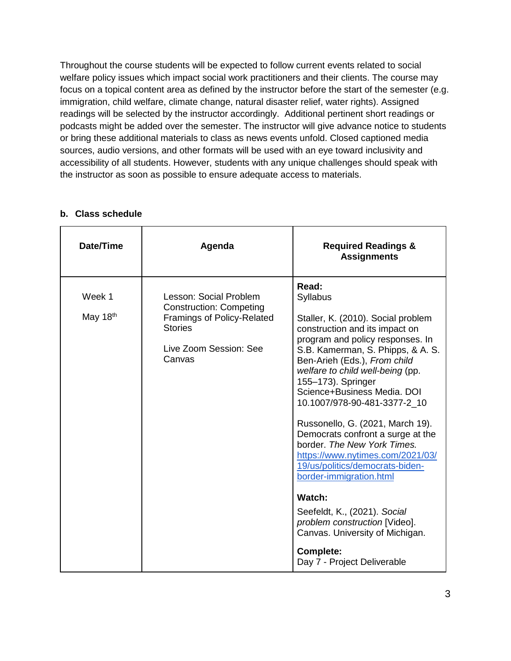Throughout the course students will be expected to follow current events related to social welfare policy issues which impact social work practitioners and their clients. The course may focus on a topical content area as defined by the instructor before the start of the semester (e.g. immigration, child welfare, climate change, natural disaster relief, water rights). Assigned readings will be selected by the instructor accordingly. Additional pertinent short readings or podcasts might be added over the semester. The instructor will give advance notice to students or bring these additional materials to class as news events unfold. Closed captioned media sources, audio versions, and other formats will be used with an eye toward inclusivity and accessibility of all students. However, students with any unique challenges should speak with the instructor as soon as possible to ensure adequate access to materials.

| Date/Time            | Agenda                                                                                                                                              | <b>Required Readings &amp;</b><br><b>Assignments</b>                                                                                                                                                                                                                                                                                                                                                                                                                                                                                                                                                                                                                                                   |
|----------------------|-----------------------------------------------------------------------------------------------------------------------------------------------------|--------------------------------------------------------------------------------------------------------------------------------------------------------------------------------------------------------------------------------------------------------------------------------------------------------------------------------------------------------------------------------------------------------------------------------------------------------------------------------------------------------------------------------------------------------------------------------------------------------------------------------------------------------------------------------------------------------|
| Week 1<br>May $18th$ | Lesson: Social Problem<br><b>Construction: Competing</b><br><b>Framings of Policy-Related</b><br><b>Stories</b><br>Live Zoom Session: See<br>Canvas | Read:<br>Syllabus<br>Staller, K. (2010). Social problem<br>construction and its impact on<br>program and policy responses. In<br>S.B. Kamerman, S. Phipps, & A. S.<br>Ben-Arieh (Eds.), From child<br>welfare to child well-being (pp.<br>155-173). Springer<br>Science+Business Media, DOI<br>10.1007/978-90-481-3377-2_10<br>Russonello, G. (2021, March 19).<br>Democrats confront a surge at the<br>border. The New York Times.<br>https://www.nytimes.com/2021/03/<br>19/us/politics/democrats-biden-<br>border-immigration.html<br>Watch:<br>Seefeldt, K., (2021). Social<br>problem construction [Video].<br>Canvas. University of Michigan.<br><b>Complete:</b><br>Day 7 - Project Deliverable |

# **b. Class schedule**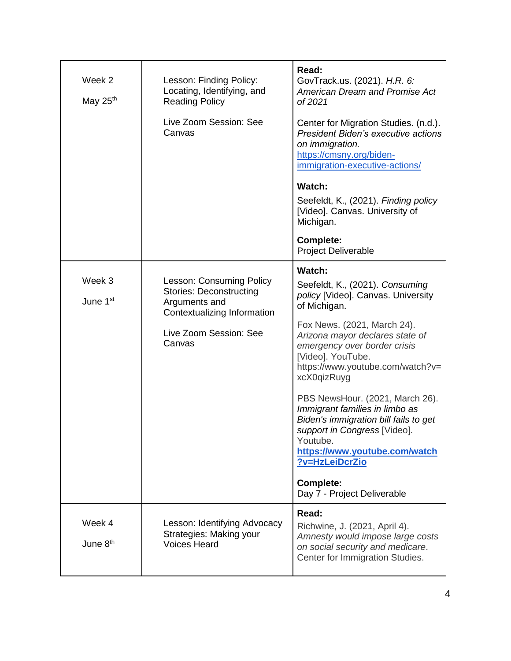| Week 2<br>May 25th             | Lesson: Finding Policy:<br>Locating, Identifying, and<br><b>Reading Policy</b><br>Live Zoom Session: See<br>Canvas | Read:<br>GovTrack.us. (2021). H.R. 6:<br><b>American Dream and Promise Act</b><br>of 2021<br>Center for Migration Studies. (n.d.).<br><b>President Biden's executive actions</b><br>on immigration.       |
|--------------------------------|--------------------------------------------------------------------------------------------------------------------|-----------------------------------------------------------------------------------------------------------------------------------------------------------------------------------------------------------|
|                                |                                                                                                                    | https://cmsny.org/biden-<br>immigration-executive-actions/<br>Watch:<br>Seefeldt, K., (2021). Finding policy                                                                                              |
|                                |                                                                                                                    | [Video]. Canvas. University of<br>Michigan.<br><b>Complete:</b><br><b>Project Deliverable</b>                                                                                                             |
|                                |                                                                                                                    |                                                                                                                                                                                                           |
| Week 3<br>June 1 <sup>st</sup> | <b>Lesson: Consuming Policy</b><br><b>Stories: Deconstructing</b><br>Arguments and                                 | Watch:<br>Seefeldt, K., (2021). Consuming<br>policy [Video]. Canvas. University<br>of Michigan.                                                                                                           |
|                                | Contextualizing Information<br>Live Zoom Session: See<br>Canvas                                                    | Fox News. (2021, March 24).<br>Arizona mayor declares state of<br>emergency over border crisis<br>[Video]. YouTube.<br>https://www.youtube.com/watch?v=<br>xcX0qizRuyg                                    |
|                                |                                                                                                                    | PBS NewsHour. (2021, March 26).<br>Immigrant families in limbo as<br>Biden's immigration bill fails to get<br>support in Congress [Video].<br>Youtube.<br>https://www.youtube.com/watch<br>?v=HzLeiDcrZio |
|                                |                                                                                                                    | <b>Complete:</b><br>Day 7 - Project Deliverable                                                                                                                                                           |
| Week 4<br>June 8 <sup>th</sup> | Lesson: Identifying Advocacy<br>Strategies: Making your<br><b>Voices Heard</b>                                     | Read:<br>Richwine, J. (2021, April 4).<br>Amnesty would impose large costs<br>on social security and medicare.<br>Center for Immigration Studies.                                                         |
|                                |                                                                                                                    |                                                                                                                                                                                                           |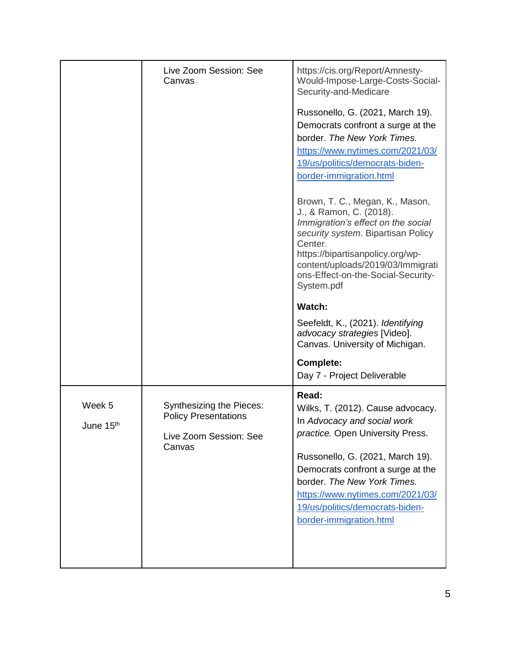|                                 | Live Zoom Session: See<br>Canvas                                                                   | https://cis.org/Report/Amnesty-<br>Would-Impose-Large-Costs-Social-<br>Security-and-Medicare                                                                                                                                                                                                                            |
|---------------------------------|----------------------------------------------------------------------------------------------------|-------------------------------------------------------------------------------------------------------------------------------------------------------------------------------------------------------------------------------------------------------------------------------------------------------------------------|
|                                 |                                                                                                    | Russonello, G. (2021, March 19).<br>Democrats confront a surge at the<br>border. The New York Times.<br>https://www.nytimes.com/2021/03/<br>19/us/politics/democrats-biden-<br>border-immigration.html                                                                                                                  |
|                                 |                                                                                                    | Brown, T. C., Megan, K., Mason,<br>J., & Ramon, C. (2018).<br>Immigration's effect on the social<br>security system. Bipartisan Policy<br>Center.<br>https://bipartisanpolicy.org/wp-<br>content/uploads/2019/03/Immigrati<br>ons-Effect-on-the-Social-Security-<br>System.pdf                                          |
|                                 |                                                                                                    | Watch:                                                                                                                                                                                                                                                                                                                  |
|                                 |                                                                                                    | Seefeldt, K., (2021). Identifying<br>advocacy strategies [Video].<br>Canvas. University of Michigan.                                                                                                                                                                                                                    |
|                                 |                                                                                                    | <b>Complete:</b><br>Day 7 - Project Deliverable                                                                                                                                                                                                                                                                         |
| Week 5<br>June 15 <sup>th</sup> | <b>Synthesizing the Pieces:</b><br><b>Policy Presentations</b><br>Live Zoom Session: See<br>Canvas | Read:<br>Wilks, T. (2012). Cause advocacy.<br>In Advocacy and social work<br>practice. Open University Press.<br>Russonello, G. (2021, March 19).<br>Democrats confront a surge at the<br>border. The New York Times.<br>https://www.nytimes.com/2021/03/<br>19/us/politics/democrats-biden-<br>border-immigration.html |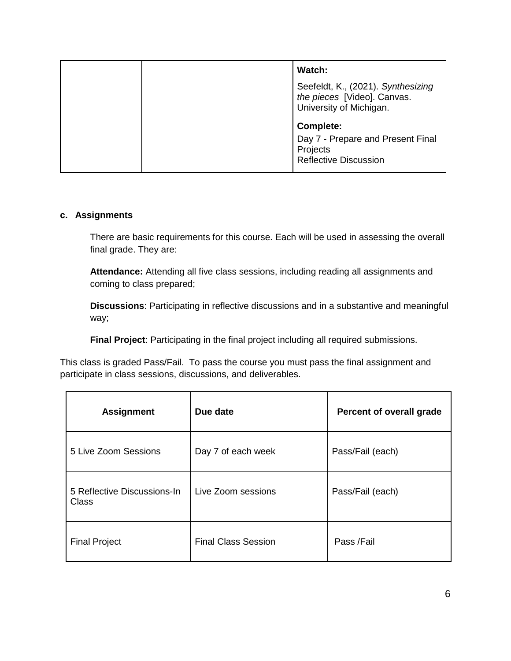| Watch:                                                                                       |
|----------------------------------------------------------------------------------------------|
| Seefeldt, K., (2021). Synthesizing<br>the pieces [Video]. Canvas.<br>University of Michigan. |
| Complete:                                                                                    |
| Day 7 - Prepare and Present Final<br>Projects<br><b>Reflective Discussion</b>                |

#### **c. Assignments**

There are basic requirements for this course. Each will be used in assessing the overall final grade. They are:

**Attendance:** Attending all five class sessions, including reading all assignments and coming to class prepared;

**Discussions**: Participating in reflective discussions and in a substantive and meaningful way;

**Final Project**: Participating in the final project including all required submissions.

This class is graded Pass/Fail. To pass the course you must pass the final assignment and participate in class sessions, discussions, and deliverables.

| <b>Assignment</b>                           | Due date                   | Percent of overall grade |
|---------------------------------------------|----------------------------|--------------------------|
| 5 Live Zoom Sessions                        | Day 7 of each week         | Pass/Fail (each)         |
| 5 Reflective Discussions-In<br><b>Class</b> | Live Zoom sessions         | Pass/Fail (each)         |
| <b>Final Project</b>                        | <b>Final Class Session</b> | Pass /Fail               |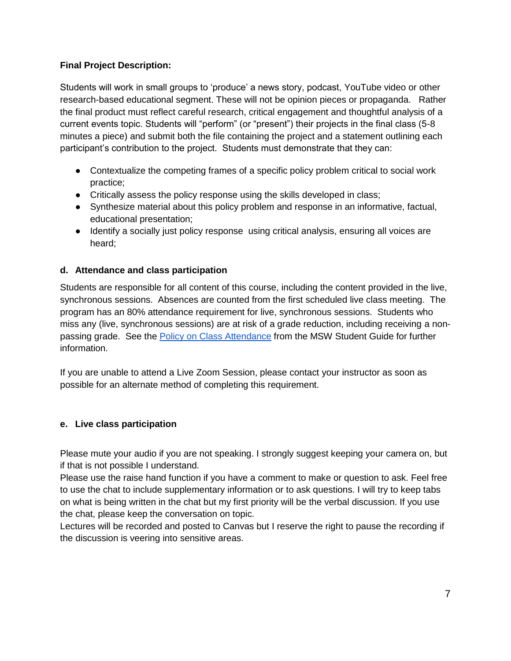# **Final Project Description:**

Students will work in small groups to 'produce' a news story, podcast, YouTube video or other research-based educational segment. These will not be opinion pieces or propaganda. Rather the final product must reflect careful research, critical engagement and thoughtful analysis of a current events topic. Students will "perform" (or "present") their projects in the final class (5-8 minutes a piece) and submit both the file containing the project and a statement outlining each participant's contribution to the project. Students must demonstrate that they can:

- Contextualize the competing frames of a specific policy problem critical to social work practice;
- Critically assess the policy response using the skills developed in class;
- Synthesize material about this policy problem and response in an informative, factual, educational presentation;
- Identify a socially just policy response using critical analysis, ensuring all voices are heard;

# **d. Attendance and class participation**

Students are responsible for all content of this course, including the content provided in the live, synchronous sessions. Absences are counted from the first scheduled live class meeting. The program has an 80% attendance requirement for live, synchronous sessions. Students who miss any (live, synchronous sessions) are at risk of a grade reduction, including receiving a nonpassing grade. See the [Policy on Class Attendance](https://ssw.umich.edu/msw-student-guide/section/1.09.00/17/policy-on-class-attendance) from the MSW Student Guide for further information.

If you are unable to attend a Live Zoom Session, please contact your instructor as soon as possible for an alternate method of completing this requirement.

# **e. Live class participation**

Please mute your audio if you are not speaking. I strongly suggest keeping your camera on, but if that is not possible I understand.

Please use the raise hand function if you have a comment to make or question to ask. Feel free to use the chat to include supplementary information or to ask questions. I will try to keep tabs on what is being written in the chat but my first priority will be the verbal discussion. If you use the chat, please keep the conversation on topic.

Lectures will be recorded and posted to Canvas but I reserve the right to pause the recording if the discussion is veering into sensitive areas.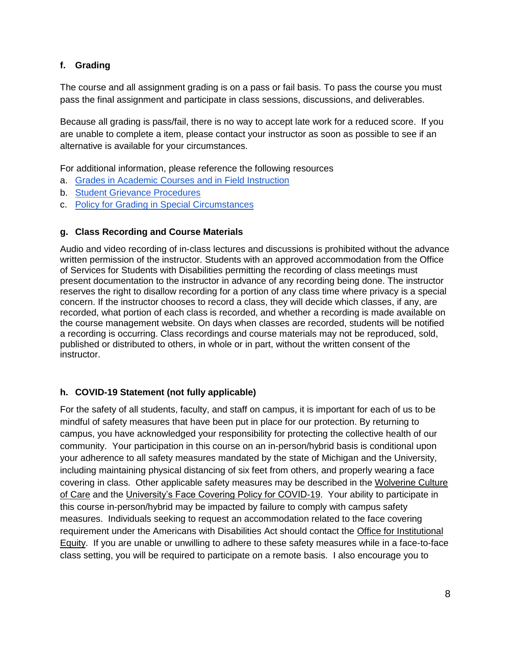# **f. Grading**

The course and all assignment grading is on a pass or fail basis. To pass the course you must pass the final assignment and participate in class sessions, discussions, and deliverables.

Because all grading is pass/fail, there is no way to accept late work for a reduced score. If you are unable to complete a item, please contact your instructor as soon as possible to see if an alternative is available for your circumstances.

For additional information, please reference the following resources

- a. [Grades in Academic Courses and in Field Instruction](http://ssw.umich.edu/msw-student-guide/chapter/1.08/grades-in-academic-courses-and-in-field-instruction)
- b. [Student Grievance Procedures](http://ssw.umich.edu/msw-student-guide/chapter/1.18/student-grievances)
- c. [Policy for Grading in Special Circumstances](https://ssw.umich.edu/msw-student-guide/section/1.08.01/15/grades-for-special-circumstances)

### **g. Class Recording and Course Materials**

Audio and video recording of in-class lectures and discussions is prohibited without the advance written permission of the instructor. Students with an approved accommodation from the Office of Services for Students with Disabilities permitting the recording of class meetings must present documentation to the instructor in advance of any recording being done. The instructor reserves the right to disallow recording for a portion of any class time where privacy is a special concern. If the instructor chooses to record a class, they will decide which classes, if any, are recorded, what portion of each class is recorded, and whether a recording is made available on the course management website. On days when classes are recorded, students will be notified a recording is occurring. Class recordings and course materials may not be reproduced, sold, published or distributed to others, in whole or in part, without the written consent of the instructor.

# **h. COVID-19 Statement (not fully applicable)**

For the safety of all students, faculty, and staff on campus, it is important for each of us to be mindful of safety measures that have been put in place for our protection. By returning to campus, you have acknowledged your responsibility for protecting the collective health of our community. Your participation in this course on an in-person/hybrid basis is conditional upon your adherence to all safety measures mandated by the state of Michigan and the University, including maintaining physical distancing of six feet from others, and properly wearing a face covering in class. Other applicable safety measures may be described in the [Wolverine Culture](https://campusblueprint.umich.edu/uploads/Wolverine_Culture_of_Care%20sign_8.5x11_UPDATED_071520.pdf)  [of Care](https://campusblueprint.umich.edu/uploads/Wolverine_Culture_of_Care%20sign_8.5x11_UPDATED_071520.pdf) and the [University's Face Covering Policy for COVID-19.](http://ehs.umich.edu/wp-content/uploads/2020/07/U-M-Face-Covering-Policy-for-COVID-19.pdf) Your ability to participate in this course in-person/hybrid may be impacted by failure to comply with campus safety measures. Individuals seeking to request an accommodation related to the face covering requirement under the Americans with Disabilities Act should contact the [Office for Institutional](https://oie.umich.edu/american-with-disabilities-act-ada/)  [Equity.](https://oie.umich.edu/american-with-disabilities-act-ada/) If you are unable or unwilling to adhere to these safety measures while in a face-to-face class setting, you will be required to participate on a remote basis. I also encourage you to